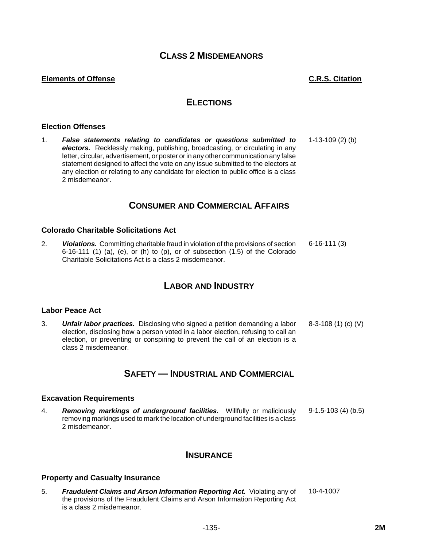# **CLASS 2 MISDEMEANORS**

## **Elements of Offense C.R.S. Citation**

# **ELECTIONS**

#### **Election Offenses**

1. *False statements relating to candidates or questions submitted to electors.* Recklessly making, publishing, broadcasting, or circulating in any letter, circular, advertisement, or poster or in any other communication any false statement designed to affect the vote on any issue submitted to the electors at any election or relating to any candidate for election to public office is a class 2 misdemeanor. 1-13-109 (2) (b)

# **CONSUMER AND COMMERCIAL AFFAIRS**

### **Colorado Charitable Solicitations Act**

2. *Violations.* Committing charitable fraud in violation of the provisions of section  $6-16-111$  (1) (a), (e), or (h) to (p), or of subsection  $(1.5)$  of the Colorado Charitable Solicitations Act is a class 2 misdemeanor. 6-16-111 (3)

# **LABOR AND INDUSTRY**

#### **Labor Peace Act**

3. *Unfair labor practices.* Disclosing who signed a petition demanding a labor election, disclosing how a person voted in a labor election, refusing to call an election, or preventing or conspiring to prevent the call of an election is a class 2 misdemeanor. 8-3-108 (1) (c) (V)

# **SAFETY — INDUSTRIAL AND COMMERCIAL**

#### **Excavation Requirements**

4. *Removing markings of underground facilities.* Willfully or maliciously removing markings used to mark the location of underground facilities is a class 2 misdemeanor. 9-1.5-103 (4) (b.5)

# **INSURANCE**

#### **Property and Casualty Insurance**

5. *Fraudulent Claims and Arson Information Reporting Act.* Violating any of the provisions of the Fraudulent Claims and Arson Information Reporting Act is a class 2 misdemeanor. 10-4-1007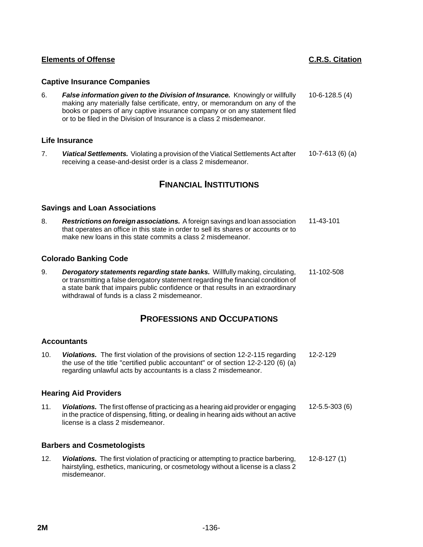# **Captive Insurance Companies**

6. *False information given to the Division of Insurance.* Knowingly or willfully making any materially false certificate, entry, or memorandum on any of the books or papers of any captive insurance company or on any statement filed or to be filed in the Division of Insurance is a class 2 misdemeanor. 10-6-128.5 (4)

## **Life Insurance**

7. *Viatical Settlements.* Violating a provision of the Viatical Settlements Act after receiving a cease-and-desist order is a class 2 misdemeanor. 10-7-613 (6) (a)

# **FINANCIAL INSTITUTIONS**

## **Savings and Loan Associations**

8. *Restrictions on foreign associations.* A foreign savings and loan association that operates an office in this state in order to sell its shares or accounts or to make new loans in this state commits a class 2 misdemeanor. 11-43-101

# **Colorado Banking Code**

9. *Derogatory statements regarding state banks.* Willfully making, circulating, or transmitting a false derogatory statement regarding the financial condition of a state bank that impairs public confidence or that results in an extraordinary withdrawal of funds is a class 2 misdemeanor. 11-102-508

# **PROFESSIONS AND OCCUPATIONS**

## **Accountants**

10. *Violations.* The first violation of the provisions of section 12-2-115 regarding the use of the title "certified public accountant" or of section 12-2-120 (6) (a) regarding unlawful acts by accountants is a class 2 misdemeanor. 12-2-129

## **Hearing Aid Providers**

11. *Violations.* The first offense of practicing as a hearing aid provider or engaging in the practice of dispensing, fitting, or dealing in hearing aids without an active license is a class 2 misdemeanor. 12-5.5-303 (6)

## **Barbers and Cosmetologists**

12. *Violations.* The first violation of practicing or attempting to practice barbering, hairstyling, esthetics, manicuring, or cosmetology without a license is a class 2 misdemeanor. 12-8-127 (1)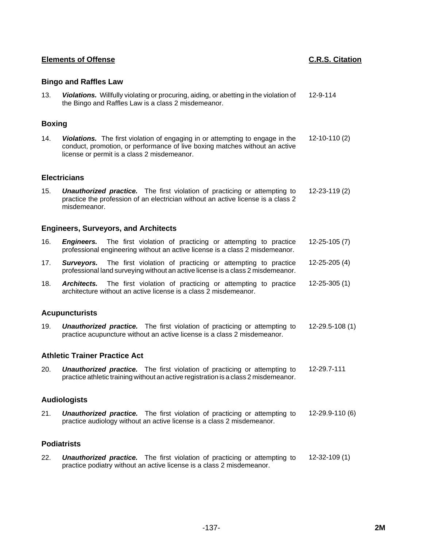# **Bingo and Raffles Law**

13. *Violations.* Willfully violating or procuring, aiding, or abetting in the violation of the Bingo and Raffles Law is a class 2 misdemeanor. 12-9-114

# **Boxing**

14. *Violations.* The first violation of engaging in or attempting to engage in the conduct, promotion, or performance of live boxing matches without an active license or permit is a class 2 misdemeanor. 12-10-110 (2)

# **Electricians**

15. *Unauthorized practice.* The first violation of practicing or attempting to practice the profession of an electrician without an active license is a class 2 misdemeanor. 12-23-119 (2)

## **Engineers, Surveyors, and Architects**

- 16. *Engineers.* The first violation of practicing or attempting to practice professional engineering without an active license is a class 2 misdemeanor. 12-25-105 (7)
- 17. *Surveyors.* The first violation of practicing or attempting to practice professional land surveying without an active license is a class 2 misdemeanor. 12-25-205 (4)
- 18. *Architects.* The first violation of practicing or attempting to practice architecture without an active license is a class 2 misdemeanor. 12-25-305 (1)

## **Acupuncturists**

19. *Unauthorized practice.* The first violation of practicing or attempting to practice acupuncture without an active license is a class 2 misdemeanor. 12-29.5-108 (1)

## **Athletic Trainer Practice Act**

20. *Unauthorized practice.* The first violation of practicing or attempting to practice athletic training without an active registration is a class 2 misdemeanor. 12-29.7-111

## **Audiologists**

21. *Unauthorized practice.* The first violation of practicing or attempting to practice audiology without an active license is a class 2 misdemeanor. 12-29.9-110 (6)

## **Podiatrists**

22. *Unauthorized practice.* The first violation of practicing or attempting to practice podiatry without an active license is a class 2 misdemeanor. 12-32-109 (1)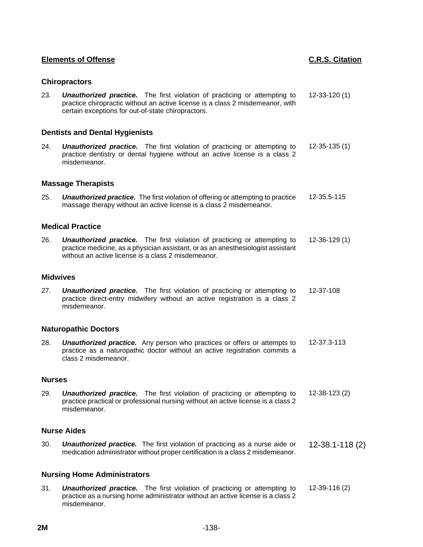# **Chiropractors**

23. *Unauthorized practice.* The first violation of practicing or attempting to practice chiropractic without an active license is a class 2 misdemeanor, with certain exceptions for out-of-state chiropractors. 12-33-120 (1)

# **Dentists and Dental Hygienists**

24. *Unauthorized practice.* The first violation of practicing or attempting to practice dentistry or dental hygiene without an active license is a class 2 misdemeanor. 12-35-135 (1)

## **Massage Therapists**

25. *Unauthorized practice.* The first violation of offering or attempting to practice massage therapy without an active license is a class 2 misdemeanor. 12-35.5-115

### **Medical Practice**

26. *Unauthorized practice.* The first violation of practicing or attempting to practice medicine, as a physician assistant, or as an anesthesiologist assistant without an active license is a class 2 misdemeanor. 12-36-129 (1)

#### **Midwives**

27. *Unauthorized practice.* The first violation of practicing or attempting to practice direct-entry midwifery without an active registration is a class 2 misdemeanor. 12-37-108

#### **Naturopathic Doctors**

28. *Unauthorized practice.* Any person who practices or offers or attempts to practice as a naturopathic doctor without an active registration commits a class 2 misdemeanor. 12-37.3-113

### **Nurses**

29. *Unauthorized practice.* The first violation of practicing or attempting to practice practical or professional nursing without an active license is a class 2 misdemeanor. 12-38-123 (2)

## **Nurse Aides**

30. *Unauthorized practice.* The first violation of practicing as a nurse aide or **Unauthorized practice.** The first violation of practicing as a nurse aide or 12-38.1-118 (2) medication administrator without proper certification is a class 2 misdemeanor.

## **Nursing Home Administrators**

31. *Unauthorized practice.* The first violation of practicing or attempting to practice as a nursing home administrator without an active license is a class 2 misdemeanor. 12-39-116 (2)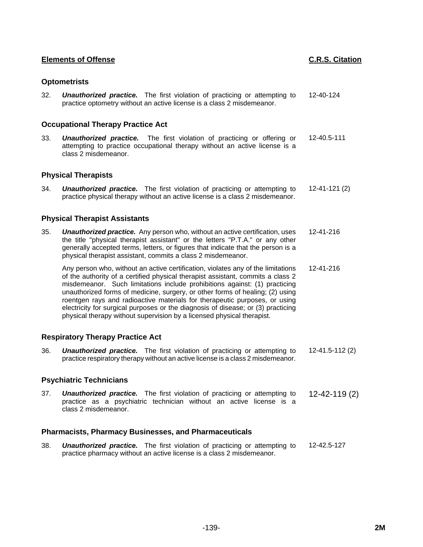# **Optometrists**

32. *Unauthorized practice.* The first violation of practicing or attempting to practice optometry without an active license is a class 2 misdemeanor. 12-40-124

## **Occupational Therapy Practice Act**

33. *Unauthorized practice.* The first violation of practicing or offering or attempting to practice occupational therapy without an active license is a class 2 misdemeanor. 12-40.5-111

### **Physical Therapists**

34. *Unauthorized practice.* The first violation of practicing or attempting to practice physical therapy without an active license is a class 2 misdemeanor. 12-41-121 (2)

## **Physical Therapist Assistants**

35. *Unauthorized practice.* Any person who, without an active certification, uses the title "physical therapist assistant" or the letters "P.T.A." or any other generally accepted terms, letters, or figures that indicate that the person is a physical therapist assistant, commits a class 2 misdemeanor. 12-41-216

Any person who, without an active certification, violates any of the limitations of the authority of a certified physical therapist assistant, commits a class 2 misdemeanor. Such limitations include prohibitions against: (1) practicing unauthorized forms of medicine, surgery, or other forms of healing; (2) using roentgen rays and radioactive materials for therapeutic purposes, or using electricity for surgical purposes or the diagnosis of disease; or (3) practicing physical therapy without supervision by a licensed physical therapist. 12-41-216

## **Respiratory Therapy Practice Act**

36. *Unauthorized practice.* The first violation of practicing or attempting to practice respiratory therapy without an active license is a class 2 misdemeanor. 12-41.5-112 (2)

#### **Psychiatric Technicians**

37. *Unauthorized practice.* The first violation of practicing or attempting to practice as a psychiatric technician without an active license is a class 2 misdemeanor. 12-42-119 (2)

## **Pharmacists, Pharmacy Businesses, and Pharmaceuticals**

38. *Unauthorized practice.* The first violation of practicing or attempting to practice pharmacy without an active license is a class 2 misdemeanor. 12-42.5-127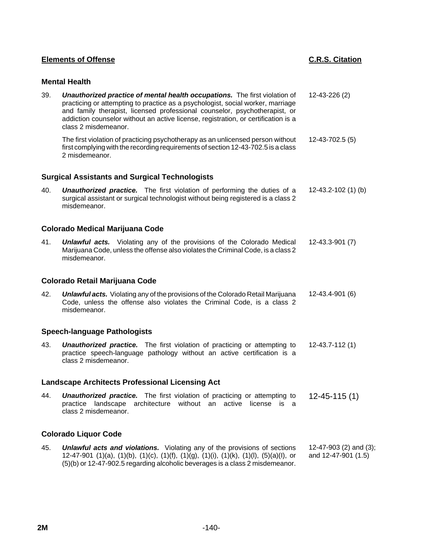# **Mental Health**

| 39. | Unauthorized practice of mental health occupations. The first violation of<br>practicing or attempting to practice as a psychologist, social worker, marriage<br>and family therapist, licensed professional counselor, psychotherapist, or<br>addiction counselor without an active license, registration, or certification is a<br>class 2 misdemeanor. | 12-43-226 (2)                                 |  |
|-----|-----------------------------------------------------------------------------------------------------------------------------------------------------------------------------------------------------------------------------------------------------------------------------------------------------------------------------------------------------------|-----------------------------------------------|--|
|     | The first violation of practicing psychotherapy as an unlicensed person without<br>first complying with the recording requirements of section 12-43-702.5 is a class<br>2 misdemeanor.                                                                                                                                                                    | 12-43-702.5 (5)                               |  |
|     | <b>Surgical Assistants and Surgical Technologists</b>                                                                                                                                                                                                                                                                                                     |                                               |  |
| 40. | <b>Unauthorized practice.</b> The first violation of performing the duties of a<br>surgical assistant or surgical technologist without being registered is a class 2<br>misdemeanor.                                                                                                                                                                      | 12-43.2-102 (1) (b)                           |  |
|     | <b>Colorado Medical Marijuana Code</b>                                                                                                                                                                                                                                                                                                                    |                                               |  |
| 41. | <b>Unlawful acts.</b> Violating any of the provisions of the Colorado Medical<br>Marijuana Code, unless the offense also violates the Criminal Code, is a class 2<br>misdemeanor.                                                                                                                                                                         | 12-43.3-901 (7)                               |  |
|     | <b>Colorado Retail Marijuana Code</b>                                                                                                                                                                                                                                                                                                                     |                                               |  |
| 42. | <b>Unlawful acts.</b> Violating any of the provisions of the Colorado Retail Marijuana<br>Code, unless the offense also violates the Criminal Code, is a class 2<br>misdemeanor.                                                                                                                                                                          | 12-43.4-901 (6)                               |  |
|     | <b>Speech-language Pathologists</b>                                                                                                                                                                                                                                                                                                                       |                                               |  |
| 43. | <b>Unauthorized practice.</b> The first violation of practicing or attempting to<br>practice speech-language pathology without an active certification is a<br>class 2 misdemeanor.                                                                                                                                                                       | $12 - 43.7 - 112(1)$                          |  |
|     | <b>Landscape Architects Professional Licensing Act</b>                                                                                                                                                                                                                                                                                                    |                                               |  |
| 44. | <b>Unauthorized practice.</b> The first violation of practicing or attempting to<br>practice landscape<br>architecture<br>without an<br>active<br>license<br>is a<br>class 2 misdemeanor.                                                                                                                                                                 | $12 - 45 - 115(1)$                            |  |
|     | <b>Colorado Liquor Code</b>                                                                                                                                                                                                                                                                                                                               |                                               |  |
| 45. | <b>Unlawful acts and violations.</b> Violating any of the provisions of sections<br>12-47-901 (1)(a), (1)(b), (1)(c), (1)(f), (1)(g), (1)(i), (1)(k), (1)(l), (5)(a)(l), or<br>(5)(b) or 12-47-902.5 regarding alcoholic beverages is a class 2 misdemeanor.                                                                                              | 12-47-903 (2) and (3);<br>and 12-47-901 (1.5) |  |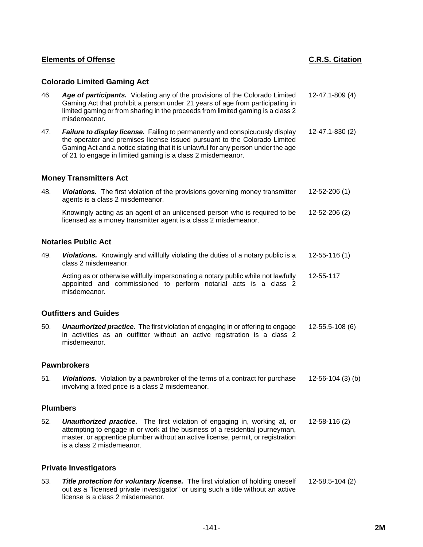# **Colorado Limited Gaming Act**

| 46. | Age of participants. Violating any of the provisions of the Colorado Limited<br>Gaming Act that prohibit a person under 21 years of age from participating in<br>limited gaming or from sharing in the proceeds from limited gaming is a class 2<br>misdemeanor.                                             | 12-47.1-809 (4)    |
|-----|--------------------------------------------------------------------------------------------------------------------------------------------------------------------------------------------------------------------------------------------------------------------------------------------------------------|--------------------|
| 47. | Failure to display license. Failing to permanently and conspicuously display<br>the operator and premises license issued pursuant to the Colorado Limited<br>Gaming Act and a notice stating that it is unlawful for any person under the age<br>of 21 to engage in limited gaming is a class 2 misdemeanor. | 12-47.1-830 (2)    |
|     | <b>Money Transmitters Act</b>                                                                                                                                                                                                                                                                                |                    |
| 48. | Violations. The first violation of the provisions governing money transmitter<br>agents is a class 2 misdemeanor.                                                                                                                                                                                            | 12-52-206 (1)      |
|     | Knowingly acting as an agent of an unlicensed person who is required to be<br>licensed as a money transmitter agent is a class 2 misdemeanor.                                                                                                                                                                | 12-52-206 (2)      |
|     | <b>Notaries Public Act</b>                                                                                                                                                                                                                                                                                   |                    |
| 49. | Violations. Knowingly and willfully violating the duties of a notary public is a<br>class 2 misdemeanor.                                                                                                                                                                                                     | $12 - 55 - 116(1)$ |
|     | Acting as or otherwise willfully impersonating a notary public while not lawfully<br>appointed and commissioned to perform notarial acts is a class 2<br>misdemeanor.                                                                                                                                        | 12-55-117          |
|     | <b>Outfitters and Guides</b>                                                                                                                                                                                                                                                                                 |                    |
| 50. | <b>Unauthorized practice.</b> The first violation of engaging in or offering to engage<br>in activities as an outfitter without an active registration is a class 2<br>misdemeanor.                                                                                                                          | 12-55.5-108 (6)    |
|     | <b>Pawnbrokers</b>                                                                                                                                                                                                                                                                                           |                    |
| 51. | Violations. Violation by a pawnbroker of the terms of a contract for purchase<br>involving a fixed price is a class 2 misdemeanor.                                                                                                                                                                           | 12-56-104 (3) (b)  |
|     | <b>Plumbers</b>                                                                                                                                                                                                                                                                                              |                    |
| 52. | <b>Unauthorized practice.</b> The first violation of engaging in, working at, or<br>attempting to engage in or work at the business of a residential journeyman,<br>master, or apprentice plumber without an active license, permit, or registration<br>is a class 2 misdemeanor.                            | 12-58-116 (2)      |
|     | <b>Private Investigators</b>                                                                                                                                                                                                                                                                                 |                    |
| 53. | Title protection for voluntary license. The first violation of holding oneself<br>out as a "licensed private investigator" or using such a title without an active<br>license is a class 2 misdemeanor.                                                                                                      | 12-58.5-104 (2)    |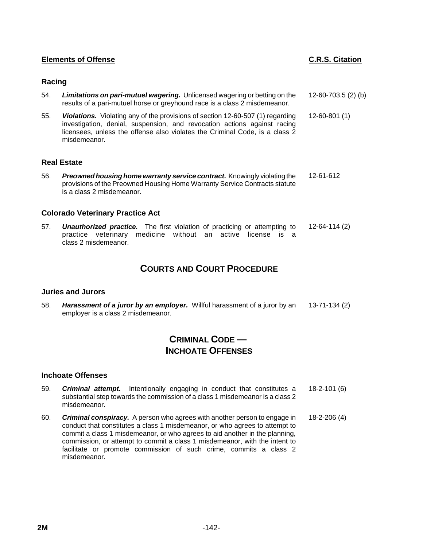## **Racing**

- 54. *Limitations on pari-mutuel wagering.* Unlicensed wagering or betting on the results of a pari-mutuel horse or greyhound race is a class 2 misdemeanor. 12-60-703.5 (2) (b)
- 55. *Violations.* Violating any of the provisions of section 12-60-507 (1) regarding investigation, denial, suspension, and revocation actions against racing licensees, unless the offense also violates the Criminal Code, is a class 2 misdemeanor. 12-60-801 (1)

#### **Real Estate**

56. *Preowned housing home warranty service contract.* Knowingly violating the provisions of the Preowned Housing Home Warranty Service Contracts statute is a class 2 misdemeanor. 12-61-612

### **Colorado Veterinary Practice Act**

57. *Unauthorized practice.* The first violation of practicing or attempting to practice veterinary medicine without an active license is a class 2 misdemeanor. 12-64-114 (2)

# **COURTS AND COURT PROCEDURE**

#### **Juries and Jurors**

58. *Harassment of a juror by an employer.* Willful harassment of a juror by an employer is a class 2 misdemeanor. 13-71-134 (2)

# **CRIMINAL CODE — INCHOATE OFFENSES**

#### **Inchoate Offenses**

- 59. *Criminal attempt.* Intentionally engaging in conduct that constitutes a substantial step towards the commission of a class 1 misdemeanor is a class 2 misdemeanor. 18-2-101 (6)
- 60. *Criminal conspiracy.* A person who agrees with another person to engage in conduct that constitutes a class 1 misdemeanor, or who agrees to attempt to commit a class 1 misdemeanor, or who agrees to aid another in the planning, commission, or attempt to commit a class 1 misdemeanor, with the intent to facilitate or promote commission of such crime, commits a class 2 misdemeanor. 18-2-206 (4)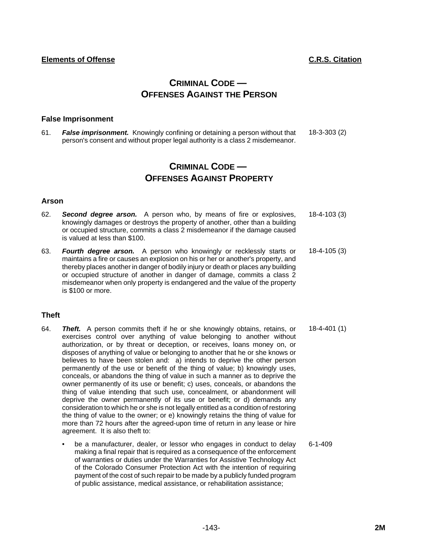# **CRIMINAL CODE — OFFENSES AGAINST THE PERSON**

## **False Imprisonment**

61. *False imprisonment.* Knowingly confining or detaining a person without that person's consent and without proper legal authority is a class 2 misdemeanor. 18-3-303 (2)

# **CRIMINAL CODE — OFFENSES AGAINST PROPERTY**

## **Arson**

- 62. *Second degree arson.* A person who, by means of fire or explosives, knowingly damages or destroys the property of another, other than a building or occupied structure, commits a class 2 misdemeanor if the damage caused is valued at less than \$100. 18-4-103 (3)
- 63. *Fourth degree arson.* A person who knowingly or recklessly starts or maintains a fire or causes an explosion on his or her or another's property, and thereby places another in danger of bodily injury or death or places any building or occupied structure of another in danger of damage, commits a class 2 misdemeanor when only property is endangered and the value of the property is \$100 or more. 18-4-105 (3)

# **Theft**

- 64. *Theft.* A person commits theft if he or she knowingly obtains, retains, or exercises control over anything of value belonging to another without authorization, or by threat or deception, or receives, loans money on, or disposes of anything of value or belonging to another that he or she knows or believes to have been stolen and: a) intends to deprive the other person permanently of the use or benefit of the thing of value; b) knowingly uses, conceals, or abandons the thing of value in such a manner as to deprive the owner permanently of its use or benefit; c) uses, conceals, or abandons the thing of value intending that such use, concealment, or abandonment will deprive the owner permanently of its use or benefit; or d) demands any consideration to which he or she is not legally entitled as a condition of restoring the thing of value to the owner; or e) knowingly retains the thing of value for more than 72 hours after the agreed-upon time of return in any lease or hire agreement. It is also theft to: 18-4-401 (1)
	- be a manufacturer, dealer, or lessor who engages in conduct to delay making a final repair that is required as a consequence of the enforcement of warranties or duties under the Warranties for Assistive Technology Act of the Colorado Consumer Protection Act with the intention of requiring payment of the cost of such repair to be made by a publicly funded program of public assistance, medical assistance, or rehabilitation assistance; 6-1-409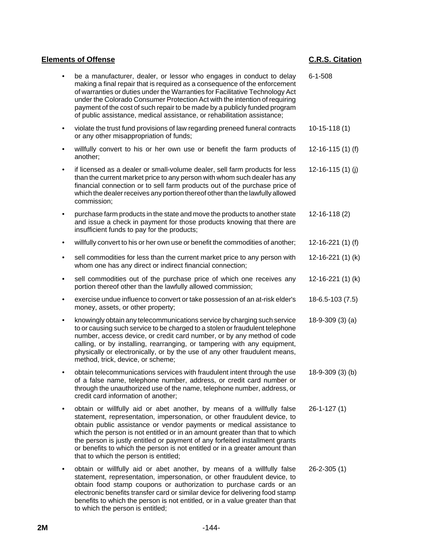|           | be a manufacturer, dealer, or lessor who engages in conduct to delay<br>making a final repair that is required as a consequence of the enforcement<br>of warranties or duties under the Warranties for Facilitative Technology Act<br>under the Colorado Consumer Protection Act with the intention of requiring<br>payment of the cost of such repair to be made by a publicly funded program<br>of public assistance, medical assistance, or rehabilitation assistance;                                         | $6 - 1 - 508$         |
|-----------|-------------------------------------------------------------------------------------------------------------------------------------------------------------------------------------------------------------------------------------------------------------------------------------------------------------------------------------------------------------------------------------------------------------------------------------------------------------------------------------------------------------------|-----------------------|
| ٠         | violate the trust fund provisions of law regarding preneed funeral contracts<br>or any other misappropriation of funds;                                                                                                                                                                                                                                                                                                                                                                                           | $10-15-118(1)$        |
| ٠         | willfully convert to his or her own use or benefit the farm products of<br>another;                                                                                                                                                                                                                                                                                                                                                                                                                               | 12-16-115 $(1)$ $(f)$ |
| $\bullet$ | if licensed as a dealer or small-volume dealer, sell farm products for less<br>than the current market price to any person with whom such dealer has any<br>financial connection or to sell farm products out of the purchase price of<br>which the dealer receives any portion thereof other than the lawfully allowed<br>commission;                                                                                                                                                                            | $12-16-115(1)$ (j)    |
|           | purchase farm products in the state and move the products to another state<br>and issue a check in payment for those products knowing that there are<br>insufficient funds to pay for the products;                                                                                                                                                                                                                                                                                                               | $12 - 16 - 118(2)$    |
|           | willfully convert to his or her own use or benefit the commodities of another;                                                                                                                                                                                                                                                                                                                                                                                                                                    | $12-16-221(1)$ (f)    |
| $\bullet$ | sell commodities for less than the current market price to any person with<br>whom one has any direct or indirect financial connection;                                                                                                                                                                                                                                                                                                                                                                           | 12-16-221 (1) (k)     |
| $\bullet$ | sell commodities out of the purchase price of which one receives any<br>portion thereof other than the lawfully allowed commission;                                                                                                                                                                                                                                                                                                                                                                               | 12-16-221 (1) (k)     |
| $\bullet$ | exercise undue influence to convert or take possession of an at-risk elder's<br>money, assets, or other property;                                                                                                                                                                                                                                                                                                                                                                                                 | 18-6.5-103 (7.5)      |
|           | knowingly obtain any telecommunications service by charging such service<br>to or causing such service to be charged to a stolen or fraudulent telephone<br>number, access device, or credit card number, or by any method of code<br>calling, or by installing, rearranging, or tampering with any equipment,<br>physically or electronically, or by the use of any other fraudulent means,<br>method, trick, device, or scheme;                                                                                 | $18-9-309(3)(a)$      |
|           | obtain telecommunications services with fraudulent intent through the use<br>of a false name, telephone number, address, or credit card number or<br>through the unauthorized use of the name, telephone number, address, or<br>credit card information of another;                                                                                                                                                                                                                                               | 18-9-309 (3) (b)      |
|           | obtain or willfully aid or abet another, by means of a willfully false<br>statement, representation, impersonation, or other fraudulent device, to<br>obtain public assistance or vendor payments or medical assistance to<br>which the person is not entitled or in an amount greater than that to which<br>the person is justly entitled or payment of any forfeited installment grants<br>or benefits to which the person is not entitled or in a greater amount than<br>that to which the person is entitled; | $26 - 1 - 127(1)$     |
| ٠         | obtain or willfully aid or abet another, by means of a willfully false<br>statement, representation, impersonation, or other fraudulent device, to<br>obtain food stamp coupons or authorization to purchase cards or an<br>electronic benefits transfer card or similar device for delivering food stamp<br>benefits to which the person is not entitled, or in a value greater than that<br>to which the person is entitled;                                                                                    | $26 - 2 - 305(1)$     |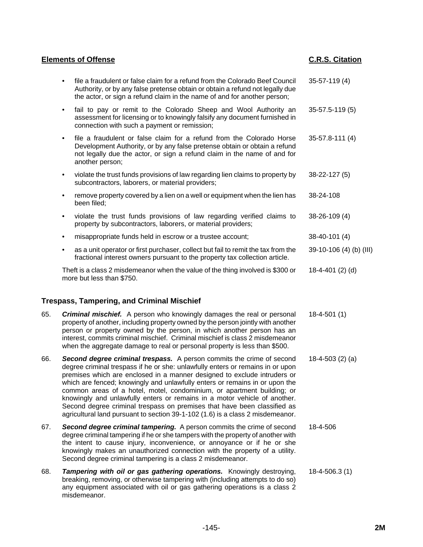| <b>Elements of Offense</b> |                                                                                                                                                                                                                                                   | <b>C.R.S. Citation</b>  |
|----------------------------|---------------------------------------------------------------------------------------------------------------------------------------------------------------------------------------------------------------------------------------------------|-------------------------|
|                            | file a fraudulent or false claim for a refund from the Colorado Beef Council<br>Authority, or by any false pretense obtain or obtain a refund not legally due<br>the actor, or sign a refund claim in the name of and for another person;         | 35-57-119 (4)           |
| ٠                          | fail to pay or remit to the Colorado Sheep and Wool Authority an<br>assessment for licensing or to knowingly falsify any document furnished in<br>connection with such a payment or remission;                                                    | $35 - 57.5 - 119(5)$    |
| $\bullet$                  | file a fraudulent or false claim for a refund from the Colorado Horse<br>Development Authority, or by any false pretense obtain or obtain a refund<br>not legally due the actor, or sign a refund claim in the name of and for<br>another person; | 35-57.8-111 (4)         |
| ٠                          | violate the trust funds provisions of law regarding lien claims to property by<br>subcontractors, laborers, or material providers;                                                                                                                | 38-22-127 (5)           |
|                            | remove property covered by a lien on a well or equipment when the lien has<br>been filed;                                                                                                                                                         | 38-24-108               |
| ٠                          | violate the trust funds provisions of law regarding verified claims to<br>property by subcontractors, laborers, or material providers;                                                                                                            | 38-26-109 (4)           |
|                            | misappropriate funds held in escrow or a trustee account;                                                                                                                                                                                         | 38-40-101 (4)           |
| ٠                          | as a unit operator or first purchaser, collect but fail to remit the tax from the<br>fractional interest owners pursuant to the property tax collection article.                                                                                  | 39-10-106 (4) (b) (III) |
|                            | Theft is a class 2 misdemeanor when the value of the thing involved is \$300 or<br>more but less than \$750.                                                                                                                                      | 18-4-401 (2) (d)        |

# **Trespass, Tampering, and Criminal Mischief**

- 65. *Criminal mischief.* A person who knowingly damages the real or personal property of another, including property owned by the person jointly with another person or property owned by the person, in which another person has an interest, commits criminal mischief. Criminal mischief is class 2 misdemeanor when the aggregate damage to real or personal property is less than \$500. 18-4-501 (1)
- 66. *Second degree criminal trespass.* A person commits the crime of second degree criminal trespass if he or she: unlawfully enters or remains in or upon premises which are enclosed in a manner designed to exclude intruders or which are fenced; knowingly and unlawfully enters or remains in or upon the common areas of a hotel, motel, condominium, or apartment building; or knowingly and unlawfully enters or remains in a motor vehicle of another. Second degree criminal trespass on premises that have been classified as agricultural land pursuant to section 39-1-102 (1.6) is a class 2 misdemeanor. 18-4-503 (2) (a)
- 67. *Second degree criminal tampering.* A person commits the crime of second degree criminal tampering if he or she tampers with the property of another with the intent to cause injury, inconvenience, or annoyance or if he or she knowingly makes an unauthorized connection with the property of a utility. Second degree criminal tampering is a class 2 misdemeanor. 18-4-506
- 68. *Tampering with oil or gas gathering operations.* Knowingly destroying, breaking, removing, or otherwise tampering with (including attempts to do so) any equipment associated with oil or gas gathering operations is a class 2 misdemeanor. 18-4-506.3 (1)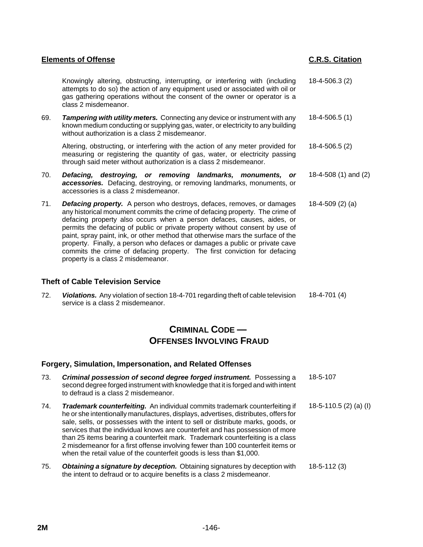Knowingly altering, obstructing, interrupting, or interfering with (including attempts to do so) the action of any equipment used or associated with oil or gas gathering operations without the consent of the owner or operator is a class 2 misdemeanor. 18-4-506.3 (2)

69. *Tampering with utility meters.* Connecting any device or instrument with any known medium conducting or supplying gas, water, or electricity to any building without authorization is a class 2 misdemeanor. 18-4-506.5 (1)

Altering, obstructing, or interfering with the action of any meter provided for measuring or registering the quantity of gas, water, or electricity passing through said meter without authorization is a class 2 misdemeanor. 18-4-506.5 (2)

- 70. *Defacing, destroying, or removing landmarks, monuments, or accessories.* Defacing, destroying, or removing landmarks, monuments, or accessories is a class 2 misdemeanor. 18-4-508 (1) and (2)
- 71. *Defacing property.* A person who destroys, defaces, removes, or damages any historical monument commits the crime of defacing property. The crime of defacing property also occurs when a person defaces, causes, aides, or permits the defacing of public or private property without consent by use of paint, spray paint, ink, or other method that otherwise mars the surface of the property. Finally, a person who defaces or damages a public or private cave commits the crime of defacing property. The first conviction for defacing property is a class 2 misdemeanor. 18-4-509 (2) (a)

## **Theft of Cable Television Service**

72. *Violations.* Any violation of section 18-4-701 regarding theft of cable television service is a class 2 misdemeanor. 18-4-701 (4)

# **CRIMINAL CODE — OFFENSES INVOLVING FRAUD**

#### **Forgery, Simulation, Impersonation, and Related Offenses**

| 73. | <b>Criminal possession of second degree forged instrument.</b> Possessing a<br>second degree forged instrument with knowledge that it is forged and with intent<br>to defraud is a class 2 misdemeanor.                                                                                                                                                                                                                                                                                                                                                                                    | 18-5-107               |
|-----|--------------------------------------------------------------------------------------------------------------------------------------------------------------------------------------------------------------------------------------------------------------------------------------------------------------------------------------------------------------------------------------------------------------------------------------------------------------------------------------------------------------------------------------------------------------------------------------------|------------------------|
| 74. | <b>Trademark counterfeiting.</b> An individual commits trademark counterfeiting if<br>he or she intentionally manufactures, displays, advertises, distributes, offers for<br>sale, sells, or possesses with the intent to sell or distribute marks, goods, or<br>services that the individual knows are counterfeit and has possession of more<br>than 25 items bearing a counterfeit mark. Trademark counterfeiting is a class<br>2 misdemeanor for a first offense involving fewer than 100 counterfeit items or<br>when the retail value of the counterfeit goods is less than \$1,000. | 18-5-110.5 (2) (a) (I) |
| 75. | Obtaining a signature by deception. Obtaining signatures by deception with<br>the intent to defraud or to acquire benefits is a class 2 misdemeanor.                                                                                                                                                                                                                                                                                                                                                                                                                                       | $18 - 5 - 112(3)$      |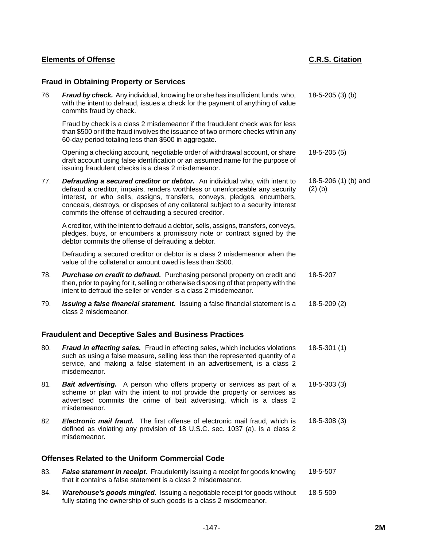|                                                        | <b>Fraud in Obtaining Property or Services</b>                                                                                                                                                                                                                                                                                                                                             |                                   |  |  |
|--------------------------------------------------------|--------------------------------------------------------------------------------------------------------------------------------------------------------------------------------------------------------------------------------------------------------------------------------------------------------------------------------------------------------------------------------------------|-----------------------------------|--|--|
| 76.                                                    | Fraud by check. Any individual, knowing he or she has insufficient funds, who,<br>with the intent to defraud, issues a check for the payment of anything of value<br>commits fraud by check.                                                                                                                                                                                               | $18-5-205(3)$ (b)                 |  |  |
|                                                        | Fraud by check is a class 2 misdemeanor if the fraudulent check was for less<br>than \$500 or if the fraud involves the issuance of two or more checks within any<br>60-day period totaling less than \$500 in aggregate.                                                                                                                                                                  |                                   |  |  |
|                                                        | Opening a checking account, negotiable order of withdrawal account, or share<br>draft account using false identification or an assumed name for the purpose of<br>issuing fraudulent checks is a class 2 misdemeanor.                                                                                                                                                                      | $18-5-205(5)$                     |  |  |
| 77.                                                    | <b>Defrauding a secured creditor or debtor.</b> An individual who, with intent to<br>defraud a creditor, impairs, renders worthless or unenforceable any security<br>interest, or who sells, assigns, transfers, conveys, pledges, encumbers,<br>conceals, destroys, or disposes of any collateral subject to a security interest<br>commits the offense of defrauding a secured creditor. | 18-5-206 (1) (b) and<br>$(2)$ (b) |  |  |
|                                                        | A creditor, with the intent to defraud a debtor, sells, assigns, transfers, conveys,<br>pledges, buys, or encumbers a promissory note or contract signed by the<br>debtor commits the offense of defrauding a debtor.                                                                                                                                                                      |                                   |  |  |
|                                                        | Defrauding a secured creditor or debtor is a class 2 misdemeanor when the<br>value of the collateral or amount owed is less than \$500.                                                                                                                                                                                                                                                    |                                   |  |  |
| 78.                                                    | Purchase on credit to defraud. Purchasing personal property on credit and<br>then, prior to paying for it, selling or otherwise disposing of that property with the<br>intent to defraud the seller or vender is a class 2 misdemeanor.                                                                                                                                                    | 18-5-207                          |  |  |
| 79.                                                    | Issuing a false financial statement. Issuing a false financial statement is a<br>class 2 misdemeanor.                                                                                                                                                                                                                                                                                      | $18-5-209(2)$                     |  |  |
|                                                        | <b>Fraudulent and Deceptive Sales and Business Practices</b>                                                                                                                                                                                                                                                                                                                               |                                   |  |  |
| 80.                                                    | Fraud in effecting sales. Fraud in effecting sales, which includes violations<br>such as using a false measure, selling less than the represented quantity of a<br>service, and making a false statement in an advertisement, is a class 2<br>misdemeanor.                                                                                                                                 | $18-5-301(1)$                     |  |  |
| 81.                                                    | Bait advertising. A person who offers property or services as part of a<br>scheme or plan with the intent to not provide the property or services as<br>advertised commits the crime of bait advertising, which is a class 2<br>misdemeanor.                                                                                                                                               | $18-5-303(3)$                     |  |  |
| 82.                                                    | <b>Electronic mail fraud.</b> The first offense of electronic mail fraud, which is<br>defined as violating any provision of 18 U.S.C. sec. 1037 (a), is a class 2<br>misdemeanor.                                                                                                                                                                                                          | $18-5-308(3)$                     |  |  |
| <b>Offenses Related to the Uniform Commercial Code</b> |                                                                                                                                                                                                                                                                                                                                                                                            |                                   |  |  |
| 83.                                                    | False statement in receipt. Fraudulently issuing a receipt for goods knowing                                                                                                                                                                                                                                                                                                               | 18-5-507                          |  |  |

84. *Warehouse's goods mingled.* Issuing a negotiable receipt for goods without fully stating the ownership of such goods is a class 2 misdemeanor. 18-5-509

that it contains a false statement is a class 2 misdemeanor.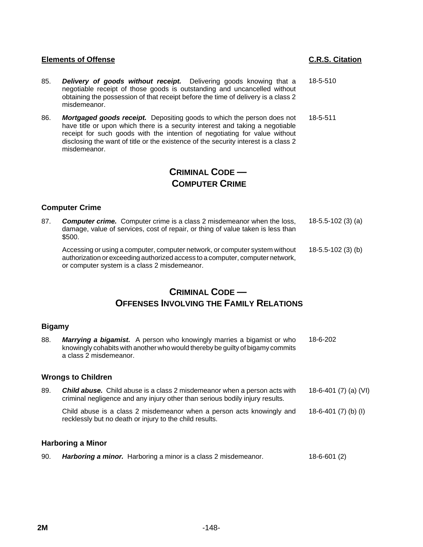- 85. *Delivery of goods without receipt.* Delivering goods knowing that a negotiable receipt of those goods is outstanding and uncancelled without obtaining the possession of that receipt before the time of delivery is a class 2 misdemeanor. 18-5-510
- 86. *Mortgaged goods receipt.* Depositing goods to which the person does not have title or upon which there is a security interest and taking a negotiable receipt for such goods with the intention of negotiating for value without disclosing the want of title or the existence of the security interest is a class 2 misdemeanor. 18-5-511

# **CRIMINAL CODE — COMPUTER CRIME**

# **Computer Crime**

87. *Computer crime.* Computer crime is a class 2 misdemeanor when the loss, damage, value of services, cost of repair, or thing of value taken is less than \$500. 18-5.5-102 (3) (a) Accessing or using a computer, computer network, or computer system without

authorization or exceeding authorized access to a computer, computer network, or computer system is a class 2 misdemeanor. 18-5.5-102 (3) (b)

# **CRIMINAL CODE — OFFENSES INVOLVING THE FAMILY RELATIONS**

## **Bigamy**

| 88. | <b>Marrying a bigamist.</b> A person who knowingly marries a bigamist or who<br>knowingly cohabits with another who would thereby be guilty of bigamy commits<br>a class 2 misdemeanor. | 18-6-202                   |
|-----|-----------------------------------------------------------------------------------------------------------------------------------------------------------------------------------------|----------------------------|
|     | <b>Wrongs to Children</b>                                                                                                                                                               |                            |
| 89. | <b>Child abuse.</b> Child abuse is a class 2 misdemeanor when a person acts with<br>criminal negligence and any injury other than serious bodily injury results.                        | 18-6-401 (7) (a) (VI)      |
|     | Child abuse is a class 2 misdemeanor when a person acts knowingly and<br>recklessly but no death or injury to the child results.                                                        | 18-6-401 $(7)$ $(b)$ $(l)$ |
|     | <b>Harboring a Minor</b>                                                                                                                                                                |                            |
| 90. | <b>Harboring a minor.</b> Harboring a minor is a class 2 misdemeanor.                                                                                                                   | $18 - 6 - 601(2)$          |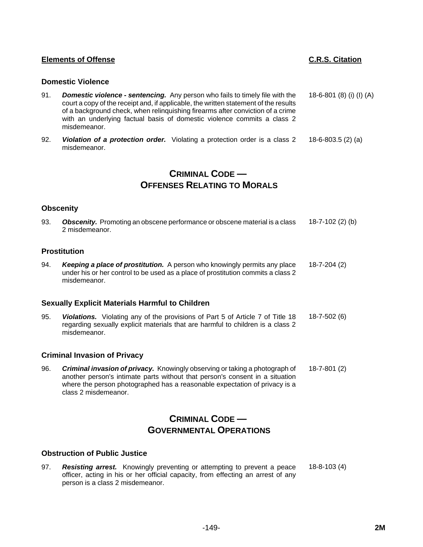#### **Domestic Violence**

misdemeanor.

- 91. *Domestic violence sentencing.* Any person who fails to timely file with the court a copy of the receipt and, if applicable, the written statement of the results of a background check, when relinquishing firearms after conviction of a crime with an underlying factual basis of domestic violence commits a class 2 18-6-801 (8) (i) (I) (A)
- 92. *Violation of a protection order.* Violating a protection order is a class 2 misdemeanor. 18-6-803.5 (2) (a)

# **CRIMINAL CODE — OFFENSES RELATING TO MORALS**

#### **Obscenity**

93. *Obscenity.* Promoting an obscene performance or obscene material is a class 2 misdemeanor. 18-7-102 (2) (b)

# **Prostitution**

94. *Keeping a place of prostitution.* A person who knowingly permits any place under his or her control to be used as a place of prostitution commits a class 2 misdemeanor. 18-7-204 (2)

#### **Sexually Explicit Materials Harmful to Children**

95. *Violations.* Violating any of the provisions of Part 5 of Article 7 of Title 18 regarding sexually explicit materials that are harmful to children is a class 2 misdemeanor. 18-7-502 (6)

#### **Criminal Invasion of Privacy**

96. *Criminal invasion of privacy.* Knowingly observing or taking a photograph of another person's intimate parts without that person's consent in a situation where the person photographed has a reasonable expectation of privacy is a class 2 misdemeanor. 18-7-801 (2)

# **CRIMINAL CODE — GOVERNMENTAL OPERATIONS**

# **Obstruction of Public Justice**

97. *Resisting arrest.* Knowingly preventing or attempting to prevent a peace officer, acting in his or her official capacity, from effecting an arrest of any person is a class 2 misdemeanor. 18-8-103 (4)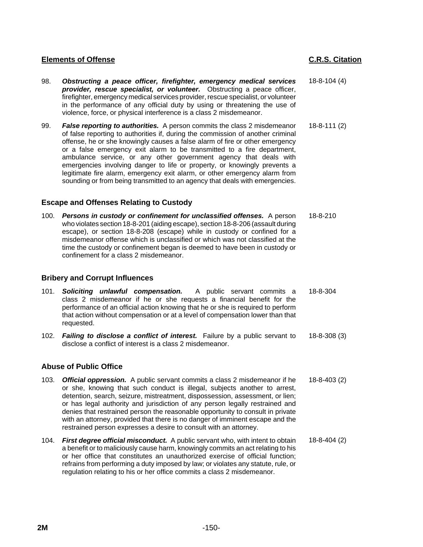- 98. *Obstructing a peace officer, firefighter, emergency medical services provider, rescue specialist, or volunteer.* Obstructing a peace officer, firefighter, emergency medical services provider, rescue specialist, or volunteer in the performance of any official duty by using or threatening the use of violence, force, or physical interference is a class 2 misdemeanor. 18-8-104 (4)
- 99. *False reporting to authorities.* A person commits the class 2 misdemeanor of false reporting to authorities if, during the commission of another criminal offense, he or she knowingly causes a false alarm of fire or other emergency or a false emergency exit alarm to be transmitted to a fire department, ambulance service, or any other government agency that deals with emergencies involving danger to life or property, or knowingly prevents a legitimate fire alarm, emergency exit alarm, or other emergency alarm from sounding or from being transmitted to an agency that deals with emergencies. 18-8-111 (2)

## **Escape and Offenses Relating to Custody**

100. *Persons in custody or confinement for unclassified offenses.* A person who violates section 18-8-201 (aiding escape), section 18-8-206 (assault during escape), or section 18-8-208 (escape) while in custody or confined for a misdemeanor offense which is unclassified or which was not classified at the time the custody or confinement began is deemed to have been in custody or confinement for a class 2 misdemeanor.

## **Bribery and Corrupt Influences**

- 101. *Soliciting unlawful compensation.* A public servant commits a class 2 misdemeanor if he or she requests a financial benefit for the performance of an official action knowing that he or she is required to perform that action without compensation or at a level of compensation lower than that requested. 18-8-304
- 102. *Failing to disclose a conflict of interest.* Failure by a public servant to disclose a conflict of interest is a class 2 misdemeanor. 18-8-308 (3)

## **Abuse of Public Office**

- 103. *Official oppression.* A public servant commits a class 2 misdemeanor if he or she, knowing that such conduct is illegal, subjects another to arrest, detention, search, seizure, mistreatment, dispossession, assessment, or lien; or has legal authority and jurisdiction of any person legally restrained and denies that restrained person the reasonable opportunity to consult in private with an attorney, provided that there is no danger of imminent escape and the restrained person expresses a desire to consult with an attorney. 18-8-403 (2)
- 104. *First degree official misconduct.* A public servant who, with intent to obtain a benefit or to maliciously cause harm, knowingly commits an act relating to his or her office that constitutes an unauthorized exercise of official function; refrains from performing a duty imposed by law; or violates any statute, rule, or regulation relating to his or her office commits a class 2 misdemeanor. 18-8-404 (2)

18-8-210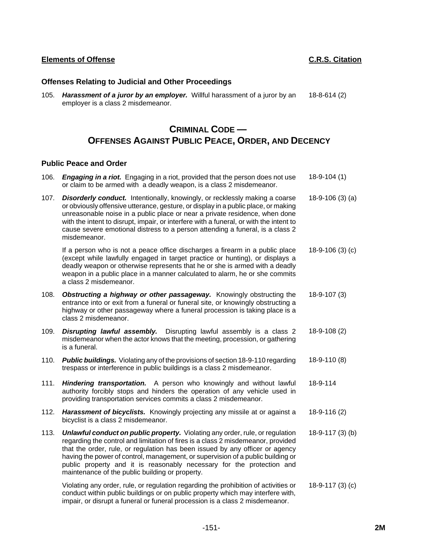# **Offenses Relating to Judicial and Other Proceedings**

105. *Harassment of a juror by an employer.* Willful harassment of a juror by an employer is a class 2 misdemeanor. 18-8-614 (2)

# **CRIMINAL CODE — OFFENSES AGAINST PUBLIC PEACE, ORDER, AND DECENCY**

## **Public Peace and Order**

106. *Engaging in a riot.* Engaging in a riot, provided that the person does not use or claim to be armed with a deadly weapon, is a class 2 misdemeanor. 18-9-104 (1) 107. *Disorderly conduct.* Intentionally, knowingly, or recklessly making a coarse or obviously offensive utterance, gesture, or display in a public place, or making unreasonable noise in a public place or near a private residence, when done with the intent to disrupt, impair, or interfere with a funeral, or with the intent to cause severe emotional distress to a person attending a funeral, is a class 2 misdemeanor. 18-9-106 (3) (a)

If a person who is not a peace office discharges a firearm in a public place (except while lawfully engaged in target practice or hunting), or displays a deadly weapon or otherwise represents that he or she is armed with a deadly weapon in a public place in a manner calculated to alarm, he or she commits a class 2 misdemeanor. 18-9-106 (3) (c)

- 108. *Obstructing a highway or other passageway.* Knowingly obstructing the entrance into or exit from a funeral or funeral site, or knowingly obstructing a highway or other passageway where a funeral procession is taking place is a class 2 misdemeanor. 18-9-107 (3)
- 109. *Disrupting lawful assembly.* Disrupting lawful assembly is a class 2 misdemeanor when the actor knows that the meeting, procession, or gathering is a funeral. 18-9-108 (2)
- 110. *Public buildings.* Violating any of the provisions of section 18-9-110 regarding trespass or interference in public buildings is a class 2 misdemeanor. 18-9-110 (8)
- 111. *Hindering transportation.* A person who knowingly and without lawful authority forcibly stops and hinders the operation of any vehicle used in providing transportation services commits a class 2 misdemeanor. 18-9-114
- 112. *Harassment of bicyclists.* Knowingly projecting any missile at or against a bicyclist is a class 2 misdemeanor. 18-9-116 (2)
- 113. *Unlawful conduct on public property.* Violating any order, rule, or regulation regarding the control and limitation of fires is a class 2 misdemeanor, provided that the order, rule, or regulation has been issued by any officer or agency having the power of control, management, or supervision of a public building or public property and it is reasonably necessary for the protection and maintenance of the public building or property. 18-9-117 (3) (b)

Violating any order, rule, or regulation regarding the prohibition of activities or conduct within public buildings or on public property which may interfere with, impair, or disrupt a funeral or funeral procession is a class 2 misdemeanor. 18-9-117 (3) (c)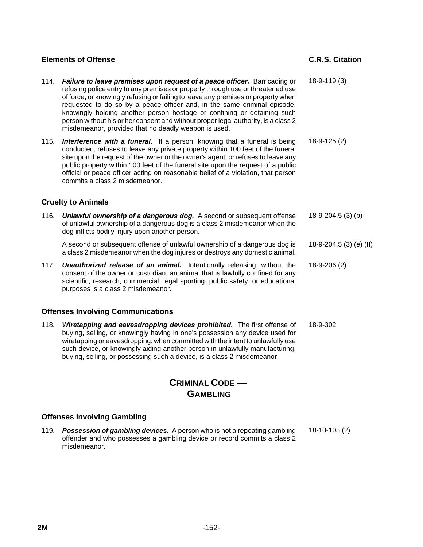# 114. *Failure to leave premises upon request of a peace officer.* Barricading or refusing police entry to any premises or property through use or threatened use of force, or knowingly refusing or failing to leave any premises or property when requested to do so by a peace officer and, in the same criminal episode, knowingly holding another person hostage or confining or detaining such person without his or her consent and without proper legal authority, is a class 2 misdemeanor, provided that no deadly weapon is used. 18-9-119 (3) 115. *Interference with a funeral.* If a person, knowing that a funeral is being conducted, refuses to leave any private property within 100 feet of the funeral site upon the request of the owner or the owner's agent, or refuses to leave any public property within 100 feet of the funeral site upon the request of a public official or peace officer acting on reasonable belief of a violation, that person commits a class 2 misdemeanor. 18-9-125 (2) **Cruelty to Animals** 116. *Unlawful ownership of a dangerous dog.* A second or subsequent offense of unlawful ownership of a dangerous dog is a class 2 misdemeanor when the dog inflicts bodily injury upon another person. 18-9-204.5 (3) (b) A second or subsequent offense of unlawful ownership of a dangerous dog is a class 2 misdemeanor when the dog injures or destroys any domestic animal. 18-9-204.5 (3) (e) (II) 117. *Unauthorized release of an animal.* Intentionally releasing, without the consent of the owner or custodian, an animal that is lawfully confined for any scientific, research, commercial, legal sporting, public safety, or educational purposes is a class 2 misdemeanor. 18-9-206 (2) **Offenses Involving Communications** 118. *Wiretapping and eavesdropping devices prohibited.* The first offense of buying, selling, or knowingly having in one's possession any device used for wiretapping or eavesdropping, when committed with the intent to unlawfully use such device, or knowingly aiding another person in unlawfully manufacturing, buying, selling, or possessing such a device, is a class 2 misdemeanor. 18-9-302

**Elements of Offense C.R.S. Citation**

# **CRIMINAL CODE — GAMBLING**

# **Offenses Involving Gambling**

119. *Possession of gambling devices.* A person who is not a repeating gambling offender and who possesses a gambling device or record commits a class 2 misdemeanor. 18-10-105 (2)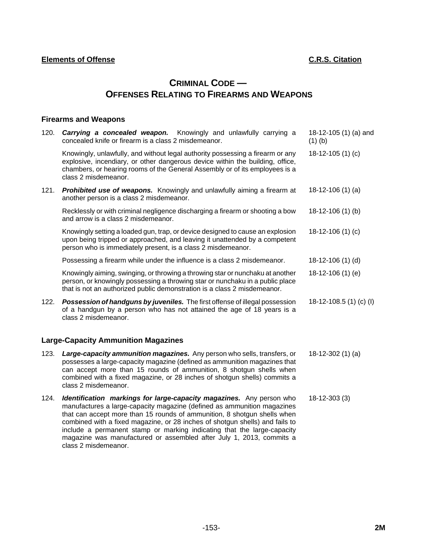# **CRIMINAL CODE — OFFENSES RELATING TO FIREARMS AND WEAPONS**

# **Firearms and Weapons**

class 2 misdemeanor.

| 120.                                       | <b>Carrying a concealed weapon.</b> Knowingly and unlawfully carrying a<br>concealed knife or firearm is a class 2 misdemeanor.                                                                                                                                                                                                                                                        | 18-12-105 (1) (a) and<br>$(1)$ (b) |
|--------------------------------------------|----------------------------------------------------------------------------------------------------------------------------------------------------------------------------------------------------------------------------------------------------------------------------------------------------------------------------------------------------------------------------------------|------------------------------------|
|                                            | Knowingly, unlawfully, and without legal authority possessing a firearm or any<br>explosive, incendiary, or other dangerous device within the building, office,<br>chambers, or hearing rooms of the General Assembly or of its employees is a<br>class 2 misdemeanor.                                                                                                                 | 18-12-105 (1) (c)                  |
| 121.                                       | Prohibited use of weapons. Knowingly and unlawfully aiming a firearm at<br>another person is a class 2 misdemeanor.                                                                                                                                                                                                                                                                    | $18-12-106(1)$ (a)                 |
|                                            | Recklessly or with criminal negligence discharging a firearm or shooting a bow<br>and arrow is a class 2 misdemeanor.                                                                                                                                                                                                                                                                  | 18-12-106 (1) (b)                  |
|                                            | Knowingly setting a loaded gun, trap, or device designed to cause an explosion<br>upon being tripped or approached, and leaving it unattended by a competent<br>person who is immediately present, is a class 2 misdemeanor.                                                                                                                                                           | 18-12-106 $(1)(c)$                 |
|                                            | Possessing a firearm while under the influence is a class 2 misdemeanor.                                                                                                                                                                                                                                                                                                               | 18-12-106 (1) (d)                  |
|                                            | Knowingly aiming, swinging, or throwing a throwing star or nunchaku at another<br>person, or knowingly possessing a throwing star or nunchaku in a public place<br>that is not an authorized public demonstration is a class 2 misdemeanor.                                                                                                                                            | 18-12-106 (1) (e)                  |
| 122.                                       | Possession of handguns by juveniles. The first offense of illegal possession<br>of a handgun by a person who has not attained the age of 18 years is a<br>class 2 misdemeanor.                                                                                                                                                                                                         | 18-12-108.5 (1) (c) (l)            |
| <b>Large-Capacity Ammunition Magazines</b> |                                                                                                                                                                                                                                                                                                                                                                                        |                                    |
| 123.                                       | <b>Large-capacity ammunition magazines.</b> Any person who sells, transfers, or<br>possesses a large-capacity magazine (defined as ammunition magazines that<br>can accept more than 15 rounds of ammunition, 8 shotgun shells when<br>combined with a fixed magazine, or 28 inches of shotgun shells) commits a<br>class 2 misdemeanor.                                               | $18-12-302(1)$ (a)                 |
| 124.                                       | Identification markings for large-capacity magazines. Any person who<br>manufactures a large-capacity magazine (defined as ammunition magazines<br>that can accept more than 15 rounds of ammunition, 8 shotgun shells when<br>combined with a fixed magazine, or 28 inches of shotgun shells) and fails to<br>include a permanent stamp or marking indicating that the large-capacity | 18-12-303 (3)                      |

magazine was manufactured or assembled after July 1, 2013, commits a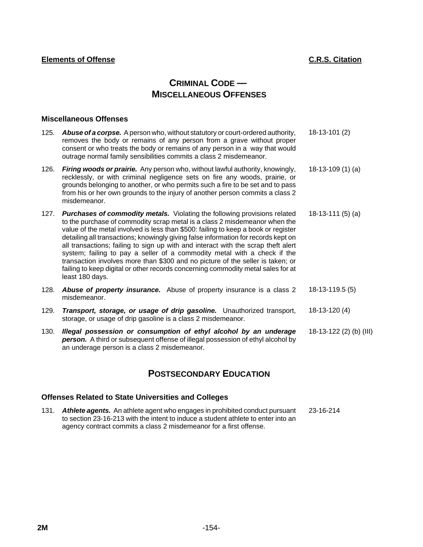# **CRIMINAL CODE — MISCELLANEOUS OFFENSES**

## **Miscellaneous Offenses**

- 125. *Abuse of a corpse.* A person who, without statutory or court-ordered authority, removes the body or remains of any person from a grave without proper consent or who treats the body or remains of any person in a way that would outrage normal family sensibilities commits a class 2 misdemeanor. 18-13-101 (2)
- 126. *Firing woods or prairie.* Any person who, without lawful authority, knowingly, recklessly, or with criminal negligence sets on fire any woods, prairie, or grounds belonging to another, or who permits such a fire to be set and to pass from his or her own grounds to the injury of another person commits a class 2 misdemeanor. 18-13-109 (1) (a)
- 127. *Purchases of commodity metals.* Violating the following provisions related to the purchase of commodity scrap metal is a class 2 misdemeanor when the value of the metal involved is less than \$500: failing to keep a book or register detailing all transactions; knowingly giving false information for records kept on all transactions; failing to sign up with and interact with the scrap theft alert system; failing to pay a seller of a commodity metal with a check if the transaction involves more than \$300 and no picture of the seller is taken; or failing to keep digital or other records concerning commodity metal sales for at least 180 days. 18-13-111 (5) (a)
- 128. *Abuse of property insurance.* Abuse of property insurance is a class 2 misdemeanor. 18-13-119.5 (5)
- 129. *Transport, storage, or usage of drip gasoline.* Unauthorized transport, storage, or usage of drip gasoline is a class 2 misdemeanor. 18-13-120 (4)
- 130. *Illegal possession or consumption of ethyl alcohol by an underage* **person.** A third or subsequent offense of illegal possession of ethyl alcohol by an underage person is a class 2 misdemeanor. 18-13-122 (2) (b) (III)

# **POSTSECONDARY EDUCATION**

## **Offenses Related to State Universities and Colleges**

131. *Athlete agents.* An athlete agent who engages in prohibited conduct pursuant to section 23-16-213 with the intent to induce a student athlete to enter into an agency contract commits a class 2 misdemeanor for a first offense. 23-16-214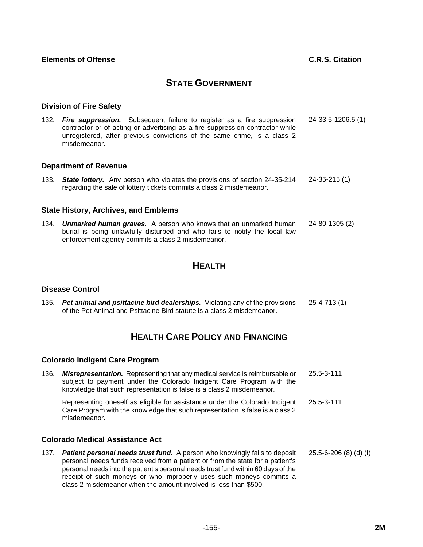# **STATE GOVERNMENT**

### **Division of Fire Safety**

132. *Fire suppression.* Subsequent failure to register as a fire suppression contractor or of acting or advertising as a fire suppression contractor while unregistered, after previous convictions of the same crime, is a class 2 misdemeanor. 24-33.5-1206.5 (1)

#### **Department of Revenue**

133. *State lottery.* Any person who violates the provisions of section 24-35-214 regarding the sale of lottery tickets commits a class 2 misdemeanor. 24-35-215 (1)

### **State History, Archives, and Emblems**

134. *Unmarked human graves.* A person who knows that an unmarked human burial is being unlawfully disturbed and who fails to notify the local law enforcement agency commits a class 2 misdemeanor. 24-80-1305 (2)

# **HEALTH**

#### **Disease Control**

135. *Pet animal and psittacine bird dealerships.* Violating any of the provisions of the Pet Animal and Psittacine Bird statute is a class 2 misdemeanor. 25-4-713 (1)

# **HEALTH CARE POLICY AND FINANCING**

#### **Colorado Indigent Care Program**

136. *Misrepresentation.* Representing that any medical service is reimbursable or subject to payment under the Colorado Indigent Care Program with the knowledge that such representation is false is a class 2 misdemeanor. 25.5-3-111

Representing oneself as eligible for assistance under the Colorado Indigent Care Program with the knowledge that such representation is false is a class 2 misdemeanor. 25.5-3-111

#### **Colorado Medical Assistance Act**

137. *Patient personal needs trust fund.* A person who knowingly fails to deposit personal needs funds received from a patient or from the state for a patient's personal needs into the patient's personal needs trust fund within 60 days of the receipt of such moneys or who improperly uses such moneys commits a class 2 misdemeanor when the amount involved is less than \$500. 25.5-6-206 (8) (d) (I)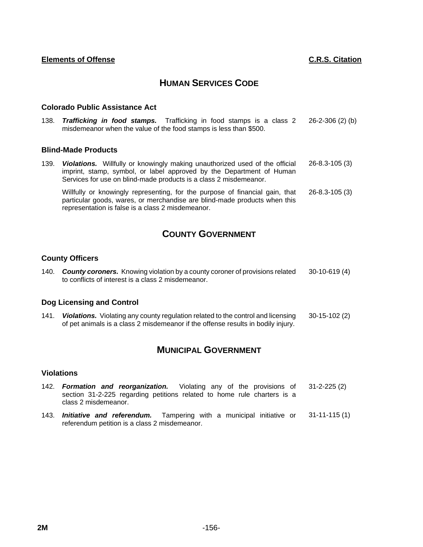# **HUMAN SERVICES CODE**

### **Colorado Public Assistance Act**

representation is false is a class 2 misdemeanor.

138. *Trafficking in food stamps.* Trafficking in food stamps is a class 2 misdemeanor when the value of the food stamps is less than \$500. 26-2-306 (2) (b)

### **Blind-Made Products**

139. *Violations.* Willfully or knowingly making unauthorized used of the official imprint, stamp, symbol, or label approved by the Department of Human Services for use on blind-made products is a class 2 misdemeanor. 26-8.3-105 (3) Willfully or knowingly representing, for the purpose of financial gain, that particular goods, wares, or merchandise are blind-made products when this 26-8.3-105 (3)

# **COUNTY GOVERNMENT**

## **County Officers**

140. *County coroners.* Knowing violation by a county coroner of provisions related to conflicts of interest is a class 2 misdemeanor. 30-10-619 (4)

## **Dog Licensing and Control**

141. *Violations.* Violating any county regulation related to the control and licensing of pet animals is a class 2 misdemeanor if the offense results in bodily injury. 30-15-102 (2)

# **MUNICIPAL GOVERNMENT**

### **Violations**

- 142. *Formation and reorganization.* Violating any of the provisions of section 31-2-225 regarding petitions related to home rule charters is a class 2 misdemeanor. 31-2-225 (2)
- 143. *Initiative and referendum.* Tampering with a municipal initiative or referendum petition is a class 2 misdemeanor. 31-11-115 (1)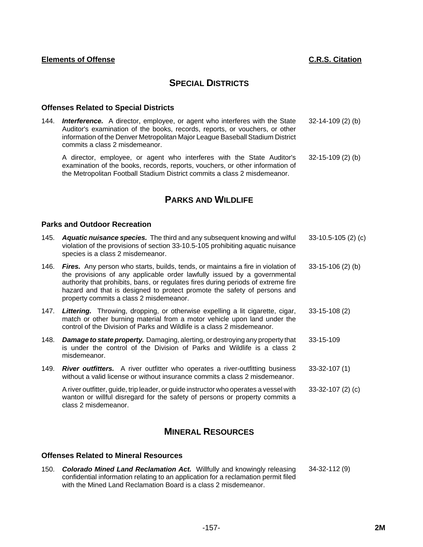# **SPECIAL DISTRICTS**

## **Offenses Related to Special Districts**

144. *Interference.* A director, employee, or agent who interferes with the State Auditor's examination of the books, records, reports, or vouchers, or other information of the Denver Metropolitan Major League Baseball Stadium District commits a class 2 misdemeanor. 32-14-109 (2) (b)

A director, employee, or agent who interferes with the State Auditor's examination of the books, records, reports, vouchers, or other information of the Metropolitan Football Stadium District commits a class 2 misdemeanor. 32-15-109 (2) (b)

# **PARKS AND WILDLIFE**

# **Parks and Outdoor Recreation**

- 145. *Aquatic nuisance species.* The third and any subsequent knowing and wilful violation of the provisions of section 33-10.5-105 prohibiting aquatic nuisance species is a class 2 misdemeanor. 33-10.5-105 (2) (c)
- 146. *Fires.* Any person who starts, builds, tends, or maintains a fire in violation of the provisions of any applicable order lawfully issued by a governmental authority that prohibits, bans, or regulates fires during periods of extreme fire hazard and that is designed to protect promote the safety of persons and property commits a class 2 misdemeanor. 33-15-106 (2) (b)
- 147. *Littering.* Throwing, dropping, or otherwise expelling a lit cigarette, cigar, match or other burning material from a motor vehicle upon land under the control of the Division of Parks and Wildlife is a class 2 misdemeanor. 33-15-108 (2)
- 148. *Damage to state property.* Damaging, alerting, or destroying any property that is under the control of the Division of Parks and Wildlife is a class 2 misdemeanor. 33-15-109
- 149. *River outfitters.* A river outfitter who operates a river-outfitting business without a valid license or without insurance commits a class 2 misdemeanor. 33-32-107 (1)

A river outfitter, guide, trip leader, or guide instructor who operates a vessel with wanton or willful disregard for the safety of persons or property commits a class 2 misdemeanor. 33-32-107 (2) (c)

# **MINERAL RESOURCES**

# **Offenses Related to Mineral Resources**

150. *Colorado Mined Land Reclamation Act.* Willfully and knowingly releasing confidential information relating to an application for a reclamation permit filed with the Mined Land Reclamation Board is a class 2 misdemeanor. 34-32-112 (9)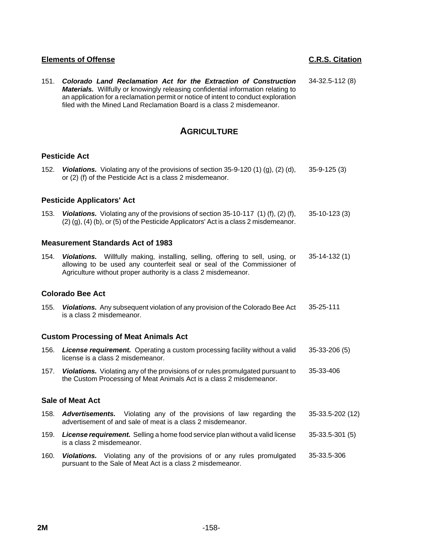151. *Colorado Land Reclamation Act for the Extraction of Construction Materials.* Willfully or knowingly releasing confidential information relating to an application for a reclamation permit or notice of intent to conduct exploration filed with the Mined Land Reclamation Board is a class 2 misdemeanor. 34-32.5-112 (8)

# **AGRICULTURE**

# **Pesticide Act**

152. *Violations.* Violating any of the provisions of section 35-9-120 (1) (g), (2) (d), or (2) (f) of the Pesticide Act is a class 2 misdemeanor. 35-9-125 (3)

## **Pesticide Applicators' Act**

153. *Violations.* Violating any of the provisions of section 35-10-117 (1) (f), (2) (f), (2) (g), (4) (b), or (5) of the Pesticide Applicators' Act is a class 2 misdemeanor. 35-10-123 (3)

### **Measurement Standards Act of 1983**

154. *Violations.* Willfully making, installing, selling, offering to sell, using, or allowing to be used any counterfeit seal or seal of the Commissioner of Agriculture without proper authority is a class 2 misdemeanor. 35-14-132 (1)

## **Colorado Bee Act**

155. *Violations.* Any subsequent violation of any provision of the Colorado Bee Act is a class 2 misdemeanor. 35-25-111

## **Custom Processing of Meat Animals Act**

- 156. *License requirement.* Operating a custom processing facility without a valid license is a class 2 misdemeanor. 35-33-206 (5)
- 157. *Violations.* Violating any of the provisions of or rules promulgated pursuant to the Custom Processing of Meat Animals Act is a class 2 misdemeanor. 35-33-406

### **Sale of Meat Act**

- 158. *Advertisements.* Violating any of the provisions of law regarding the advertisement of and sale of meat is a class 2 misdemeanor. 35-33.5-202 (12)
- 159. *License requirement.* Selling a home food service plan without a valid license is a class 2 misdemeanor. 35-33.5-301 (5)
- 160. *Violations.* Violating any of the provisions of or any rules promulgated pursuant to the Sale of Meat Act is a class 2 misdemeanor. 35-33.5-306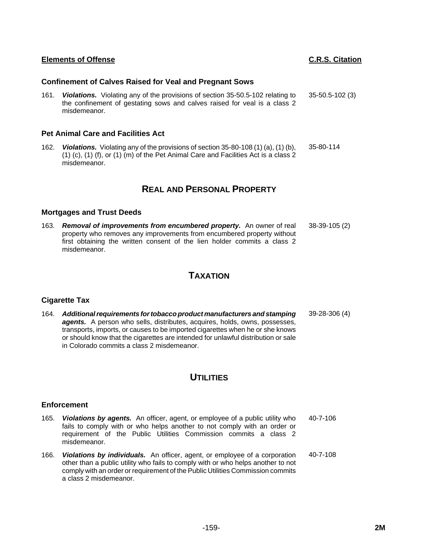# -159- **2M**

# **Confinement of Calves Raised for Veal and Pregnant Sows**

161. *Violations.* Violating any of the provisions of section 35-50.5-102 relating to the confinement of gestating sows and calves raised for veal is a class 2 misdemeanor. 35-50.5-102 (3)

# **Pet Animal Care and Facilities Act**

162. *Violations.* Violating any of the provisions of section 35-80-108 (1) (a), (1) (b), (1) (c), (1) (f), or (1) (m) of the Pet Animal Care and Facilities Act is a class 2 misdemeanor. 35-80-114

# **REAL AND PERSONAL PROPERTY**

# **Mortgages and Trust Deeds**

163. *Removal of improvements from encumbered property.* An owner of real property who removes any improvements from encumbered property without first obtaining the written consent of the lien holder commits a class 2 misdemeanor. 38-39-105 (2)

# **TAXATION**

# **Cigarette Tax**

164. *Additional requirements for tobacco product manufacturers and stamping* agents. A person who sells, distributes, acquires, holds, owns, possesses, transports, imports, or causes to be imported cigarettes when he or she knows or should know that the cigarettes are intended for unlawful distribution or sale in Colorado commits a class 2 misdemeanor. 39-28-306 (4)

# **UTILITIES**

# **Enforcement**

- 165. *Violations by agents.* An officer, agent, or employee of a public utility who fails to comply with or who helps another to not comply with an order or requirement of the Public Utilities Commission commits a class 2 misdemeanor. 40-7-106
- 166. *Violations by individuals.* An officer, agent, or employee of a corporation other than a public utility who fails to comply with or who helps another to not comply with an order or requirement of the Public Utilities Commission commits a class 2 misdemeanor. 40-7-108

# **Elements of Offense C.R.S. Citation**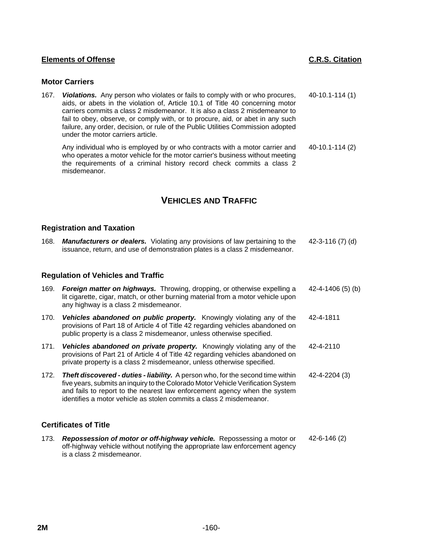## **Motor Carriers**

167. *Violations.* Any person who violates or fails to comply with or who procures, aids, or abets in the violation of, Article 10.1 of Title 40 concerning motor carriers commits a class 2 misdemeanor. It is also a class 2 misdemeanor to fail to obey, observe, or comply with, or to procure, aid, or abet in any such failure, any order, decision, or rule of the Public Utilities Commission adopted under the motor carriers article. 40-10.1-114 (1)

Any individual who is employed by or who contracts with a motor carrier and who operates a motor vehicle for the motor carrier's business without meeting the requirements of a criminal history record check commits a class 2 misdemeanor. 40-10.1-114 (2)

# **VEHICLES AND TRAFFIC**

### **Registration and Taxation**

168. *Manufacturers or dealers.* Violating any provisions of law pertaining to the issuance, return, and use of demonstration plates is a class 2 misdemeanor. 42-3-116 (7) (d)

## **Regulation of Vehicles and Traffic**

| 169. | <b>Foreign matter on highways.</b> Throwing, dropping, or otherwise expelling a<br>lit cigarette, cigar, match, or other burning material from a motor vehicle upon<br>any highway is a class 2 misdemeanor.                                                                                                                   | 42-4-1406 (5) (b) |
|------|--------------------------------------------------------------------------------------------------------------------------------------------------------------------------------------------------------------------------------------------------------------------------------------------------------------------------------|-------------------|
| 170. | Vehicles abandoned on public property. Knowingly violating any of the<br>provisions of Part 18 of Article 4 of Title 42 regarding vehicles abandoned on<br>public property is a class 2 misdemeanor, unless otherwise specified.                                                                                               | 42-4-1811         |
| 171. | <b>Vehicles abandoned on private property.</b> Knowingly violating any of the<br>provisions of Part 21 of Article 4 of Title 42 regarding vehicles abandoned on<br>private property is a class 2 misdemeanor, unless otherwise specified.                                                                                      | 42-4-2110         |
| 172. | <b>Theft discovered - duties - liability.</b> A person who, for the second time within<br>five years, submits an inquiry to the Colorado Motor Vehicle Verification System<br>and fails to report to the nearest law enforcement agency when the system<br>identifies a motor vehicle as stolen commits a class 2 misdemeanor. | 42-4-2204 (3)     |
|      | <b>Certificates of Title</b>                                                                                                                                                                                                                                                                                                   |                   |
|      |                                                                                                                                                                                                                                                                                                                                |                   |

173. *Repossession of motor or off-highway vehicle.* Repossessing a motor or off-highway vehicle without notifying the appropriate law enforcement agency is a class 2 misdemeanor. 42-6-146 (2)